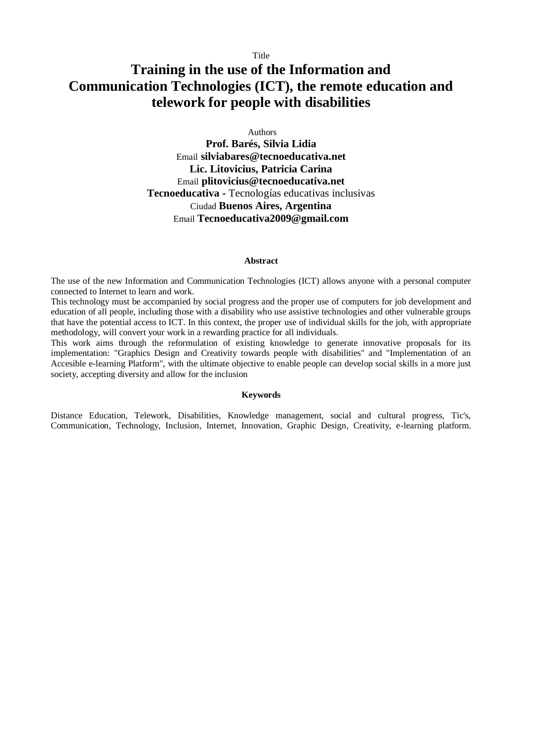# **Training in the use of the Information and Communication Technologies (ICT), the remote education and telework for people with disabilities**

Authors

**Prof. Barés, Silvia Lidia** Email **[silviabares@tecnoeducativa.net](mailto:silviabares@tecnoeducativa.net) Lic. Litovicius, Patricia Carina** Email **[plitovicius@tecnoeducativa.net](mailto:plitovicius@tecnoeducativa.net) Tecnoeducativa -** Tecnologías educativas inclusivas Ciudad **Buenos Aires, Argentina** Email **[Tecnoeducativa2009@gmail.com](mailto:Tecnoeducativa2009@gmail.com)**

## **Abstract**

The use of the new Information and Communication Technologies (ICT) allows anyone with a personal computer connected to Internet to learn and work.

This technology must be accompanied by social progress and the proper use of computers for job development and education of all people, including those with a disability who use assistive technologies and other vulnerable groups that have the potential access to ICT. In this context, the proper use of individual skills for the job, with appropriate methodology, will convert your work in a rewarding practice for all individuals.

This work aims through the reformulation of existing knowledge to generate innovative proposals for its implementation: "Graphics Design and Creativity towards people with disabilities" and "Implementation of an Accesible e-learning Platform", with the ultimate objective to enable people can develop social skills in a more just society, accepting diversity and allow for the inclusion

#### **Keywords**

Distance Education, Telework, Disabilities, Knowledge management, social and cultural progress, Tic's, Communication, Technology, Inclusion, Internet, Innovation, Graphic Design, Creativity, e-learning platform.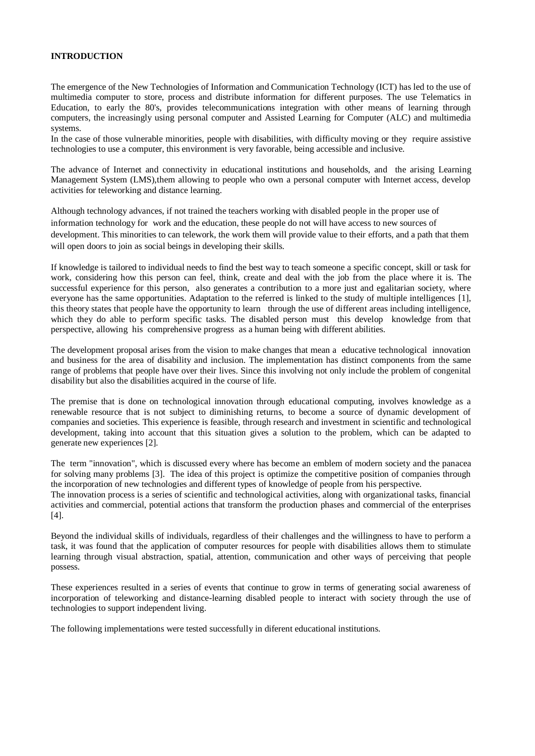## **INTRODUCTION**

The emergence of the New Technologies of Information and Communication Technology (ICT) has led to the use of multimedia computer to store, process and distribute information for different purposes. The use Telematics in Education, to early the 80's, provides telecommunications integration with other means of learning through computers, the increasingly using personal computer and Assisted Learning for Computer (ALC) and multimedia systems.

In the case of those vulnerable minorities, people with disabilities, with difficulty moving or they require assistive technologies to use a computer, this environment is very favorable, being accessible and inclusive.

The advance of Internet and connectivity in educational institutions and households, and the arising Learning Management System (LMS),them allowing to people who own a personal computer with Internet access, develop activities for teleworking and distance learning.

Although technology advances, if not trained the teachers working with disabled people in the proper use of information technology for work and the education, these people do not will have access to new sources of development. This minorities to can telework, the work them will provide value to their efforts, and a path that them will open doors to join as social beings in developing their skills.

If knowledge is tailored to individual needs to find the best way to teach someone a specific concept, skill or task for work, considering how this person can feel, think, create and deal with the job from the place where it is. The successful experience for this person, also generates a contribution to a more just and egalitarian society, where everyone has the same opportunities. Adaptation to the referred is linked to the study of multiple intelligences [1], this theory states that people have the opportunity to learn through the use of different areas including intelligence, which they do able to perform specific tasks. The disabled person must this develop knowledge from that perspective, allowing his comprehensive progress as a human being with different abilities.

The development proposal arises from the vision to make changes that mean a educative technological innovation and business for the area of disability and inclusion. The implementation has distinct components from the same range of problems that people have over their lives. Since this involving not only include the problem of congenital disability but also the disabilities acquired in the course of life.

The premise that is done on technological innovation through educational computing, involves knowledge as a renewable resource that is not subject to diminishing returns, to become a source of dynamic development of companies and societies. This experience is feasible, through research and investment in scientific and technological development, taking into account that this situation gives a solution to the problem, which can be adapted to generate new experiences [2].

The term "innovation", which is discussed every where has become an emblem of modern society and the panacea for solving many problems [3]. The idea of this project is optimize the competitive position of companies through the incorporation of new technologies and different types of knowledge of people from his perspective.

The innovation process is a series of scientific and technological activities, along with organizational tasks, financial activities and commercial, potential actions that transform the production phases and commercial of the enterprises [4].

Beyond the individual skills of individuals, regardless of their challenges and the willingness to have to perform a task, it was found that the application of computer resources for people with disabilities allows them to stimulate learning through visual abstraction, spatial, attention, communication and other ways of perceiving that people possess.

These experiences resulted in a series of events that continue to grow in terms of generating social awareness of incorporation of teleworking and distance-learning disabled people to interact with society through the use of technologies to support independent living.

The following implementations were tested successfully in diferent educational institutions.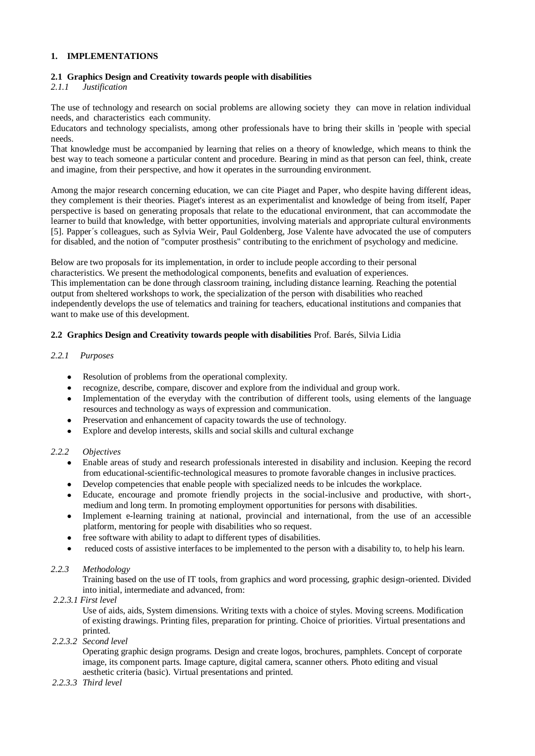## **1. IMPLEMENTATIONS**

## **2.1 Graphics Design and Creativity towards people with disabilities**

# *2.1.1 Justification*

The use of technology and research on social problems are allowing society they can move in relation individual needs, and characteristics each community.

Educators and technology specialists, among other professionals have to bring their skills in 'people with special needs.

That knowledge must be accompanied by learning that relies on a theory of knowledge, which means to think the best way to teach someone a particular content and procedure. Bearing in mind as that person can feel, think, create and imagine, from their perspective, and how it operates in the surrounding environment.

Among the major research concerning education, we can cite Piaget and Paper, who despite having different ideas, they complement is their theories. Piaget's interest as an experimentalist and knowledge of being from itself, Paper perspective is based on generating proposals that relate to the educational environment, that can accommodate the learner to build that knowledge, with better opportunities, involving materials and appropriate cultural environments [5]. Papper´s colleagues, such as Sylvia Weir, Paul Goldenberg, Jose Valente have advocated the use of computers for disabled, and the notion of "computer prosthesis" contributing to the enrichment of psychology and medicine.

Below are two proposals for its implementation, in order to include people according to their personal characteristics. We present the methodological components, benefits and evaluation of experiences. This implementation can be done through classroom training, including distance learning. Reaching the potential output from sheltered workshops to work, the specialization of the person with disabilities who reached independently develops the use of telematics and training for teachers, educational institutions and companies that want to make use of this development.

#### **2.2 Graphics Design and Creativity towards people with disabilities** Prof. Barés, Silvia Lidia

#### *2.2.1 Purposes*

- $\bullet$ Resolution of problems from the operational complexity.
- recognize, describe, compare, discover and explore from the individual and group work.  $\bullet$
- Implementation of the everyday with the contribution of different tools, using elements of the language  $\bullet$ resources and technology as ways of expression and communication.
- Preservation and enhancement of capacity towards the use of technology.  $\bullet$
- Explore and develop interests, skills and social skills and cultural exchange

#### *2.2.2 Objectives*

- Enable areas of study and research professionals interested in disability and inclusion. Keeping the record from educational-scientific-technological measures to promote favorable changes in inclusive practices.
- Develop competencies that enable people with specialized needs to be inlcudes the workplace.
- $\bullet$ Educate, encourage and promote friendly projects in the social-inclusive and productive, with short-, medium and long term. In promoting employment opportunities for persons with disabilities.
- Implement e-learning training at national, provincial and international, from the use of an accessible  $\bullet$ platform, mentoring for people with disabilities who so request.
- free software with ability to adapt to different types of disabilities.  $\bullet$
- reduced costs of assistive interfaces to be implemented to the person with a disability to, to help his learn.

#### *2.2.3 Methodology*

Training based on the use of IT tools, from graphics and word processing, graphic design-oriented. Divided into initial, intermediate and advanced, from:

#### *2.2.3.1 First level*

Use of aids, aids, System dimensions. Writing texts with a choice of styles. Moving screens. Modification of existing drawings. Printing files, preparation for printing. Choice of priorities. Virtual presentations and printed.

## *2.2.3.2 Second level*

Operating graphic design programs. Design and create logos, brochures, pamphlets. Concept of corporate image, its component parts. Image capture, digital camera, scanner others. Photo editing and visual aesthetic criteria (basic). Virtual presentations and printed.

#### *2.2.3.3 Third level*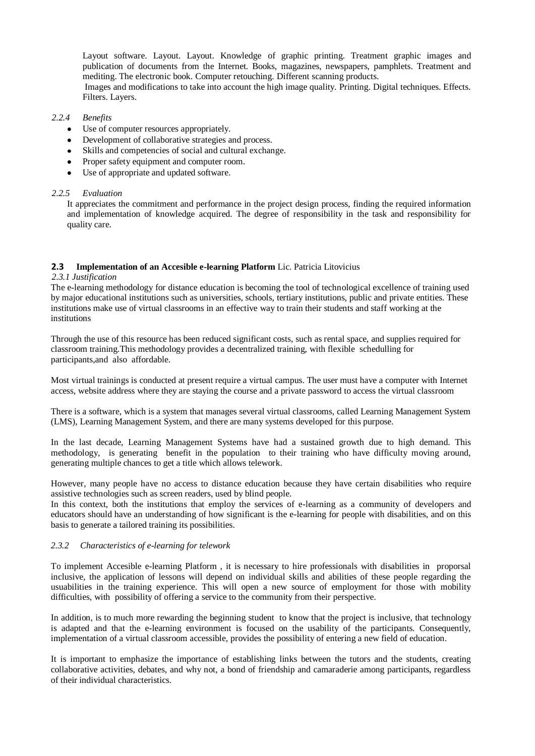Layout software. Layout. Layout. Knowledge of graphic printing. Treatment graphic images and publication of documents from the Internet. Books, magazines, newspapers, pamphlets. Treatment and mediting. The electronic book. Computer retouching. Different scanning products.

Images and modifications to take into account the high image quality. Printing. Digital techniques. Effects. Filters. Layers.

## *2.2.4 Benefits*

- Use of computer resources appropriately.
- Development of collaborative strategies and process.
- Skills and competencies of social and cultural exchange.
- Proper safety equipment and computer room.  $\bullet$
- Use of appropriate and updated software.

#### *2.2.5 Evaluation*

It appreciates the commitment and performance in the project design process, finding the required information and implementation of knowledge acquired. The degree of responsibility in the task and responsibility for quality care.

#### **2.3 Implementation of an Accesible e-learning Platform** Lic. Patricia Litovicius

#### *2.3.1 Justification*

The e-learning methodology for distance education is becoming the tool of technological excellence of training used by major educational institutions such as universities, schools, tertiary institutions, public and private entities. These institutions make use of virtual classrooms in an effective way to train their students and staff working at the institutions

Through the use of this resource has been reduced significant costs, such as rental space, and supplies required for classroom training.This methodology provides a decentralized training, with flexible schedulling for participants,and also affordable.

Most virtual trainings is conducted at present require a virtual campus. The user must have a computer with Internet access, website address where they are staying the course and a private password to access the virtual classroom

There is a software, which is a system that manages several virtual classrooms, called Learning Management System (LMS), Learning Management System, and there are many systems developed for this purpose.

In the last decade, Learning Management Systems have had a sustained growth due to high demand. This methodology, is generating benefit in the population to their training who have difficulty moving around, generating multiple chances to get a title which allows telework.

However, many people have no access to distance education because they have certain disabilities who require assistive technologies such as screen readers, used by blind people.

In this context, both the institutions that employ the services of e-learning as a community of developers and educators should have an understanding of how significant is the e-learning for people with disabilities, and on this basis to generate a tailored training its possibilities.

#### *2.3.2 Characteristics of e-learning for telework*

To implement Accesible e-learning Platform , it is necessary to hire professionals with disabilities in proporsal inclusive, the application of lessons will depend on individual skills and abilities of these people regarding the usuabilities in the training experience. This will open a new source of employment for those with mobility difficulties, with possibility of offering a service to the community from their perspective.

In addition, is to much more rewarding the beginning student to know that the project is inclusive, that technology is adapted and that the e-learning environment is focused on the usability of the participants. Consequently, implementation of a virtual classroom accessible, provides the possibility of entering a new field of education.

It is important to emphasize the importance of establishing links between the tutors and the students, creating collaborative activities, debates, and why not, a bond of friendship and camaraderie among participants, regardless of their individual characteristics.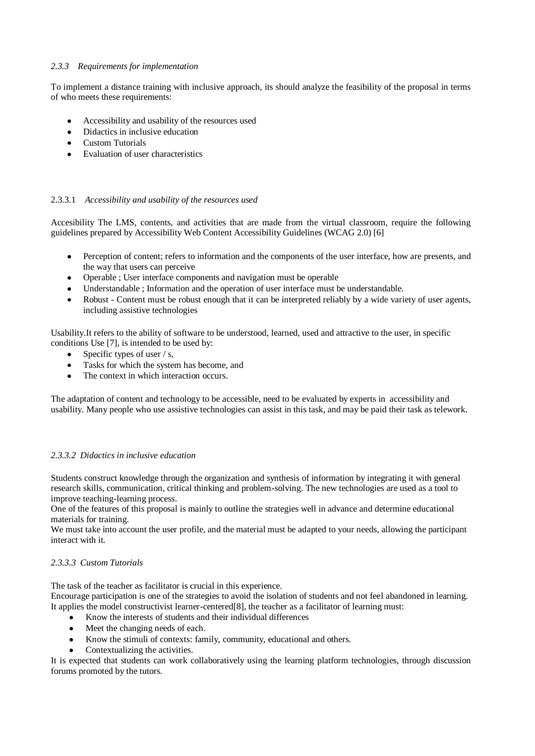## *2.3.3 Requirements for implementation*

To implement a distance training with inclusive approach, its should analyze the feasibility of the proposal in terms of who meets these requirements:

- $\bullet$ Accessibility and usability of the resources used
- Didactics in inclusive education  $\bullet$
- $\bullet$ Custom Tutorials
- Evaluation of user characteristics

## 2.3.3.1 *Accessibility and usability of the resources used*

Accesibility The LMS, contents, and activities that are made from the virtual classroom, require the following guidelines prepared by Accessibility Web Content Accessibility Guidelines (WCAG 2.0) [6]

- Perception of content; refers to information and the components of the user interface, how are presents, and the way that users can perceive
- Operable ; User interface components and navigation must be operable  $\bullet$
- $\bullet$  . Understandable ; Information and the operation of user interface must be understandable.
- Robust Content must be robust enough that it can be interpreted reliably by a wide variety of user agents,  $\bullet$ including assistive technologies

Usability.It refers to the ability of software to be understood, learned, used and attractive to the user, in specific conditions Use [7], is intended to be used by:

- Specific types of user / s,  $\bullet$
- Tasks for which the system has become, and  $\bullet$
- The context in which interaction occurs.

The adaptation of content and technology to be accessible, need to be evaluated by experts in accessibility and usability. Many people who use assistive technologies can assist in this task, and may be paid their task as telework.

## *2.3.3.2 Didactics in inclusive education*

Students construct knowledge through the organization and synthesis of information by integrating it with general research skills, communication, critical thinking and problem-solving. The new technologies are used as a tool to improve teaching-learning process.

One of the features of this proposal is mainly to outline the strategies well in advance and determine educational materials for training.

We must take into account the user profile, and the material must be adapted to your needs, allowing the participant interact with it.

## *2.3.3.3 Custom Tutorials*

The task of the teacher as facilitator is crucial in this experience.

Encourage participation is one of the strategies to avoid the isolation of students and not feel abandoned in learning. It applies the model constructivist learner-centered[8], the teacher as a facilitator of learning must:

- Know the interests of students and their individual differences
- Meet the changing needs of each.
- Know the stimuli of contexts: family, community, educational and others.
- Contextualizing the activities.

It is expected that students can work collaboratively using the learning platform technologies, through discussion forums promoted by the tutors.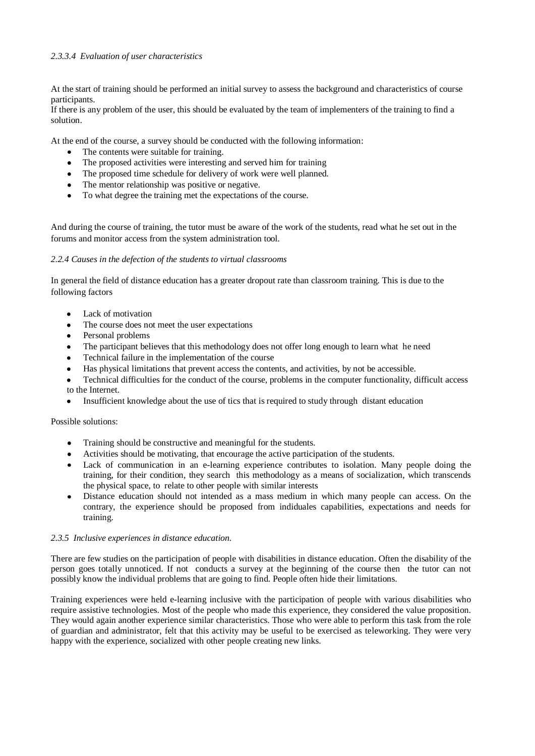## *2.3.3.4 Evaluation of user characteristics*

At the start of training should be performed an initial survey to assess the background and characteristics of course participants.

If there is any problem of the user, this should be evaluated by the team of implementers of the training to find a solution.

At the end of the course, a survey should be conducted with the following information:

- The contents were suitable for training.
- The proposed activities were interesting and served him for training
- The proposed time schedule for delivery of work were well planned.
- The mentor relationship was positive or negative.
- To what degree the training met the expectations of the course.

And during the course of training, the tutor must be aware of the work of the students, read what he set out in the forums and monitor access from the system administration tool.

## *2.2.4 Causes in the defection of the students to virtual classrooms*

In general the field of distance education has a greater dropout rate than classroom training. This is due to the following factors

- Lack of motivation
- The course does not meet the user expectations
- $\bullet$ Personal problems
- $\bullet$ The participant believes that this methodology does not offer long enough to learn what he need
- Technical failure in the implementation of the course
- $\bullet$ Has physical limitations that prevent access the contents, and activities, by not be accessible.
- Technical difficulties for the conduct of the course, problems in the computer functionality, difficult access  $\bullet$ to the Internet.
- Insufficient knowledge about the use of tics that is required to study through distant education

## Possible solutions:

- Training should be constructive and meaningful for the students.
- Activities should be motivating, that encourage the active participation of the students.
- $\bullet$ Lack of communication in an e-learning experience contributes to isolation. Many people doing the training, for their condition, they search this methodology as a means of socialization, which transcends the physical space, to relate to other people with similar interests
- Distance education should not intended as a mass medium in which many people can access. On the contrary, the experience should be proposed from indiduales capabilities, expectations and needs for training.

## *2.3.5 Inclusive experiences in distance education.*

There are few studies on the participation of people with disabilities in distance education. Often the disability of the person goes totally unnoticed. If not conducts a survey at the beginning of the course then the tutor can not possibly know the individual problems that are going to find. People often hide their limitations.

Training experiences were held e-learning inclusive with the participation of people with various disabilities who require assistive technologies. Most of the people who made this experience, they considered the value proposition. They would again another experience similar characteristics. Those who were able to perform this task from the role of guardian and administrator, felt that this activity may be useful to be exercised as teleworking. They were very happy with the experience, socialized with other people creating new links.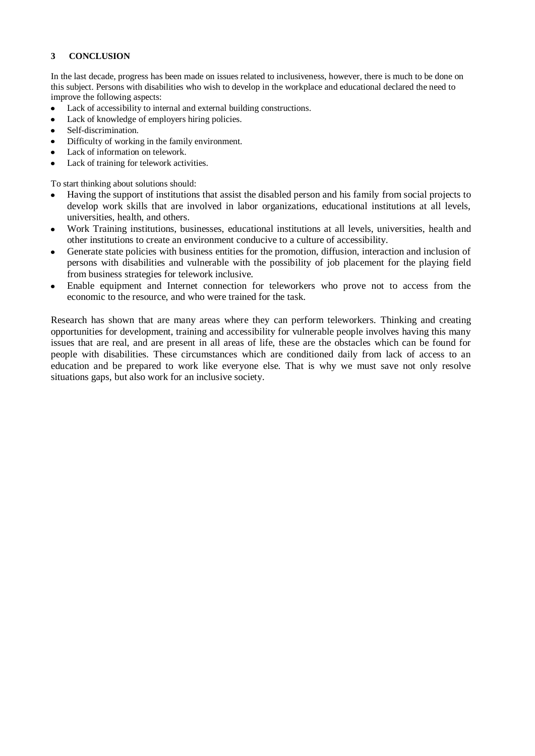# **3 CONCLUSION**

In the last decade, progress has been made on issues related to inclusiveness, however, there is much to be done on this subject. Persons with disabilities who wish to develop in the workplace and educational declared the need to improve the following aspects:

- Lack of accessibility to internal and external building constructions.  $\bullet$
- Lack of knowledge of employers hiring policies.
- Self-discrimination.  $\bullet$
- Difficulty of working in the family environment.
- Lack of information on telework.
- Lack of training for telework activities.

To start thinking about solutions should:

- Having the support of institutions that assist the disabled person and his family from social projects to develop work skills that are involved in labor organizations, educational institutions at all levels, universities, health, and others.
- Work Training institutions, businesses, educational institutions at all levels, universities, health and other institutions to create an environment conducive to a culture of accessibility.
- Generate state policies with business entities for the promotion, diffusion, interaction and inclusion of persons with disabilities and vulnerable with the possibility of job placement for the playing field from business strategies for telework inclusive.
- Enable equipment and Internet connection for teleworkers who prove not to access from the economic to the resource, and who were trained for the task.

Research has shown that are many areas where they can perform teleworkers. Thinking and creating opportunities for development, training and accessibility for vulnerable people involves having this many issues that are real, and are present in all areas of life, these are the obstacles which can be found for people with disabilities. These circumstances which are conditioned daily from lack of access to an education and be prepared to work like everyone else. That is why we must save not only resolve situations gaps, but also work for an inclusive society.